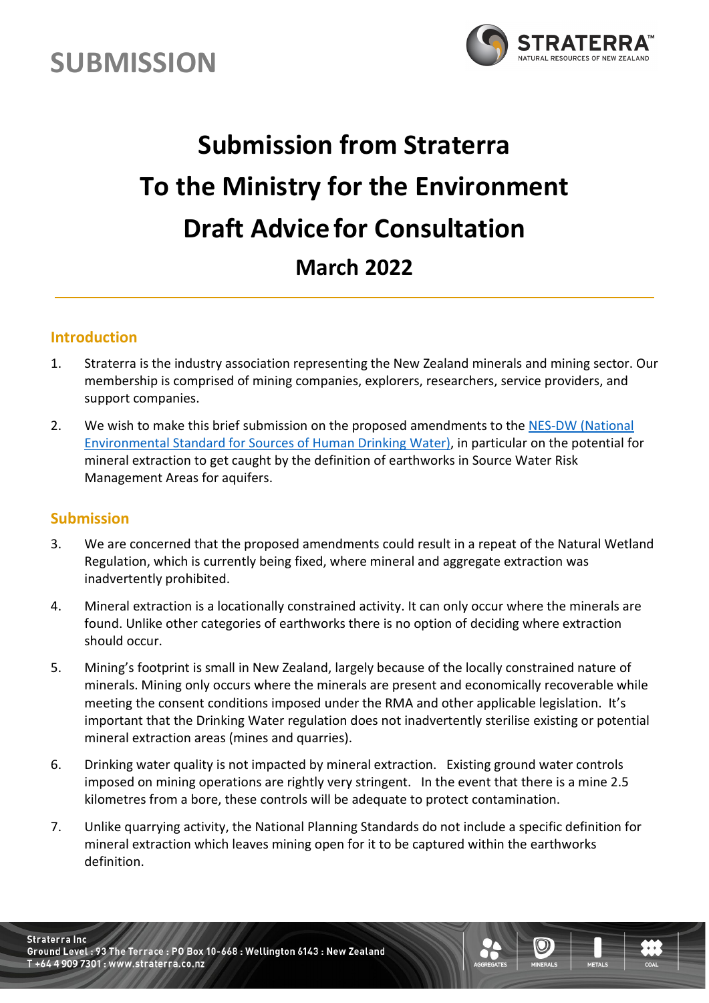



## **Submission from Straterra To the Ministry for the Environment Draft Advicefor Consultation March 2022**

## **Introduction**

- 1. Straterra is the industry association representing the New Zealand minerals and mining sector. Our membership is comprised of mining companies, explorers, researchers, service providers, and support companies.
- 2. We wish to make this brief submission on the proposed amendments to the NES-DW (National [Environmental Standard for Sources of Human Drinking Water\),](https://environment.govt.nz/assets/publications/nes-dw-consultation-document.pdf) in particular on the potential for mineral extraction to get caught by the definition of earthworks in Source Water Risk Management Areas for aquifers.

## **Submission**

- 3. We are concerned that the proposed amendments could result in a repeat of the Natural Wetland Regulation, which is currently being fixed, where mineral and aggregate extraction was inadvertently prohibited.
- 4. Mineral extraction is a locationally constrained activity. It can only occur where the minerals are found. Unlike other categories of earthworks there is no option of deciding where extraction should occur.
- 5. Mining's footprint is small in New Zealand, largely because of the locally constrained nature of minerals. Mining only occurs where the minerals are present and economically recoverable while meeting the consent conditions imposed under the RMA and other applicable legislation. It's important that the Drinking Water regulation does not inadvertently sterilise existing or potential mineral extraction areas (mines and quarries).
- 6. Drinking water quality is not impacted by mineral extraction. Existing ground water controls imposed on mining operations are rightly very stringent. In the event that there is a mine 2.5 kilometres from a bore, these controls will be adequate to protect contamination.
- 7. Unlike quarrying activity, the National Planning Standards do not include a specific definition for mineral extraction which leaves mining open for it to be captured within the earthworks definition.